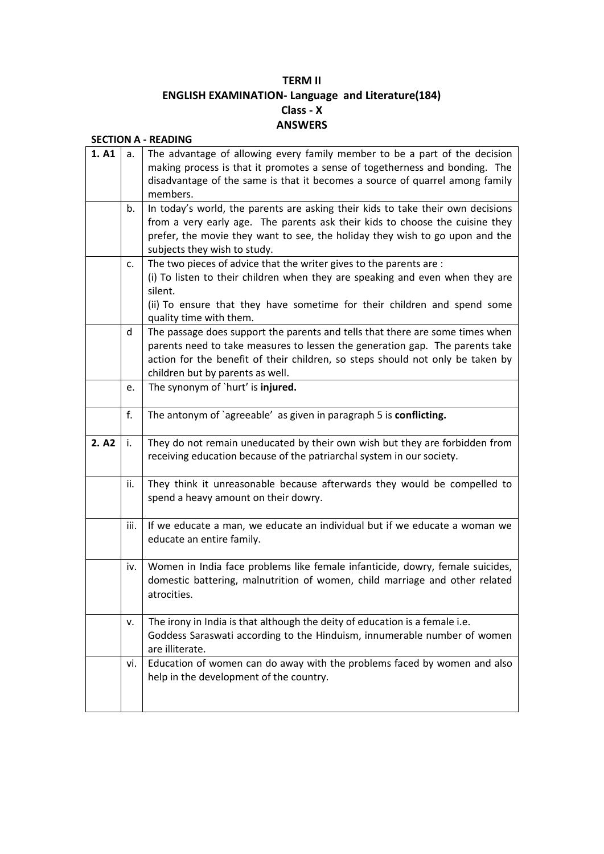## **TERM II ENGLISH EXAMINATION- Language and Literature(184) Class - X ANSWERS**

| 1. A1 | a.   | The advantage of allowing every family member to be a part of the decision<br>making process is that it promotes a sense of togetherness and bonding. The<br>disadvantage of the same is that it becomes a source of quarrel among family                                           |
|-------|------|-------------------------------------------------------------------------------------------------------------------------------------------------------------------------------------------------------------------------------------------------------------------------------------|
|       |      | members.                                                                                                                                                                                                                                                                            |
|       | b.   | In today's world, the parents are asking their kids to take their own decisions<br>from a very early age. The parents ask their kids to choose the cuisine they<br>prefer, the movie they want to see, the holiday they wish to go upon and the<br>subjects they wish to study.     |
|       | c.   | The two pieces of advice that the writer gives to the parents are :<br>(i) To listen to their children when they are speaking and even when they are<br>silent.<br>(ii) To ensure that they have sometime for their children and spend some<br>quality time with them.              |
|       | d    | The passage does support the parents and tells that there are some times when<br>parents need to take measures to lessen the generation gap. The parents take<br>action for the benefit of their children, so steps should not only be taken by<br>children but by parents as well. |
|       | e.   | The synonym of `hurt' is injured.                                                                                                                                                                                                                                                   |
|       | f.   | The antonym of `agreeable' as given in paragraph 5 is conflicting.                                                                                                                                                                                                                  |
| 2. A2 | i.   | They do not remain uneducated by their own wish but they are forbidden from<br>receiving education because of the patriarchal system in our society.                                                                                                                                |
|       | ii.  | They think it unreasonable because afterwards they would be compelled to<br>spend a heavy amount on their dowry.                                                                                                                                                                    |
|       | iii. | If we educate a man, we educate an individual but if we educate a woman we<br>educate an entire family.                                                                                                                                                                             |
|       | iv.  | Women in India face problems like female infanticide, dowry, female suicides,<br>domestic battering, malnutrition of women, child marriage and other related<br>atrocities.                                                                                                         |
|       | ν.   | The irony in India is that although the deity of education is a female i.e.<br>Goddess Saraswati according to the Hinduism, innumerable number of women<br>are illiterate.                                                                                                          |
|       | vi.  | Education of women can do away with the problems faced by women and also<br>help in the development of the country.                                                                                                                                                                 |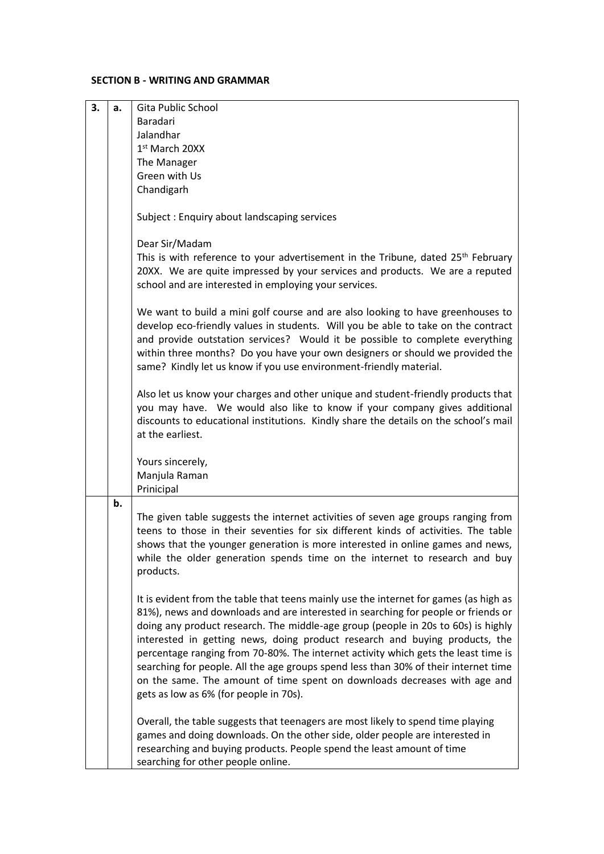## **SECTION B - WRITING AND GRAMMAR**

| 3. | a. | Gita Public School                                                                                                                                                                                                                                                                                                                                                                                                                                                                                                                                                                                                                                 |
|----|----|----------------------------------------------------------------------------------------------------------------------------------------------------------------------------------------------------------------------------------------------------------------------------------------------------------------------------------------------------------------------------------------------------------------------------------------------------------------------------------------------------------------------------------------------------------------------------------------------------------------------------------------------------|
|    |    | Baradari                                                                                                                                                                                                                                                                                                                                                                                                                                                                                                                                                                                                                                           |
|    |    | Jalandhar                                                                                                                                                                                                                                                                                                                                                                                                                                                                                                                                                                                                                                          |
|    |    | 1st March 20XX                                                                                                                                                                                                                                                                                                                                                                                                                                                                                                                                                                                                                                     |
|    |    | The Manager                                                                                                                                                                                                                                                                                                                                                                                                                                                                                                                                                                                                                                        |
|    |    | Green with Us                                                                                                                                                                                                                                                                                                                                                                                                                                                                                                                                                                                                                                      |
|    |    | Chandigarh                                                                                                                                                                                                                                                                                                                                                                                                                                                                                                                                                                                                                                         |
|    |    |                                                                                                                                                                                                                                                                                                                                                                                                                                                                                                                                                                                                                                                    |
|    |    | Subject: Enquiry about landscaping services                                                                                                                                                                                                                                                                                                                                                                                                                                                                                                                                                                                                        |
|    |    | Dear Sir/Madam                                                                                                                                                                                                                                                                                                                                                                                                                                                                                                                                                                                                                                     |
|    |    | This is with reference to your advertisement in the Tribune, dated 25th February                                                                                                                                                                                                                                                                                                                                                                                                                                                                                                                                                                   |
|    |    | 20XX. We are quite impressed by your services and products. We are a reputed<br>school and are interested in employing your services.                                                                                                                                                                                                                                                                                                                                                                                                                                                                                                              |
|    |    | We want to build a mini golf course and are also looking to have greenhouses to<br>develop eco-friendly values in students. Will you be able to take on the contract<br>and provide outstation services? Would it be possible to complete everything<br>within three months? Do you have your own designers or should we provided the<br>same? Kindly let us know if you use environment-friendly material.                                                                                                                                                                                                                                        |
|    |    | Also let us know your charges and other unique and student-friendly products that<br>you may have. We would also like to know if your company gives additional<br>discounts to educational institutions. Kindly share the details on the school's mail<br>at the earliest.                                                                                                                                                                                                                                                                                                                                                                         |
|    |    | Yours sincerely,<br>Manjula Raman<br>Prinicipal                                                                                                                                                                                                                                                                                                                                                                                                                                                                                                                                                                                                    |
|    | b. |                                                                                                                                                                                                                                                                                                                                                                                                                                                                                                                                                                                                                                                    |
|    |    | The given table suggests the internet activities of seven age groups ranging from<br>teens to those in their seventies for six different kinds of activities. The table<br>shows that the younger generation is more interested in online games and news,<br>while the older generation spends time on the internet to research and buy<br>products.                                                                                                                                                                                                                                                                                               |
|    |    | It is evident from the table that teens mainly use the internet for games (as high as<br>81%), news and downloads and are interested in searching for people or friends or<br>doing any product research. The middle-age group (people in 20s to 60s) is highly<br>interested in getting news, doing product research and buying products, the<br>percentage ranging from 70-80%. The internet activity which gets the least time is<br>searching for people. All the age groups spend less than 30% of their internet time<br>on the same. The amount of time spent on downloads decreases with age and<br>gets as low as 6% (for people in 70s). |
|    |    | Overall, the table suggests that teenagers are most likely to spend time playing<br>games and doing downloads. On the other side, older people are interested in<br>researching and buying products. People spend the least amount of time<br>searching for other people online.                                                                                                                                                                                                                                                                                                                                                                   |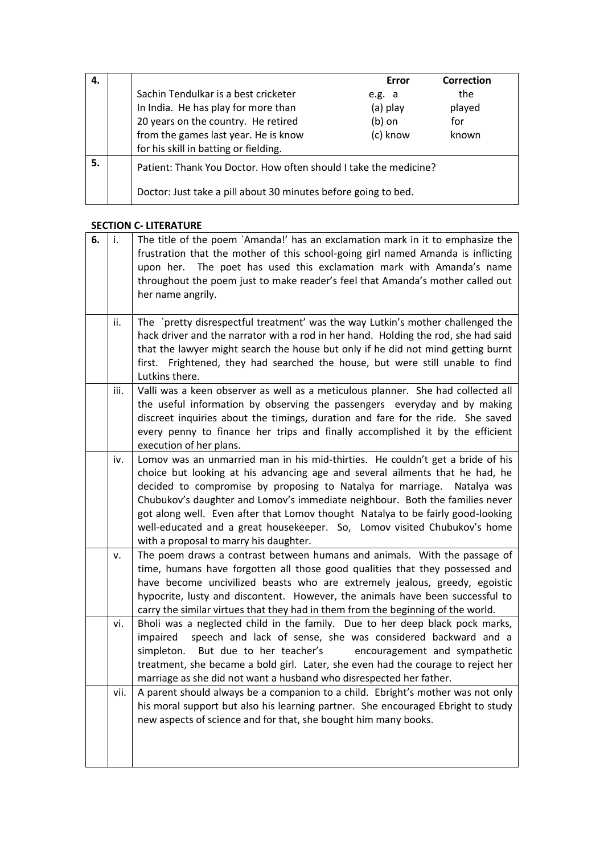| 4. |                                                                  | Error    | Correction |
|----|------------------------------------------------------------------|----------|------------|
|    | Sachin Tendulkar is a best cricketer                             | e.g. a   | the        |
|    | In India. He has play for more than                              | (a) play | played     |
|    | 20 years on the country. He retired                              | $(b)$ on | for        |
|    | from the games last year. He is know                             | (c) know | known      |
|    | for his skill in batting or fielding.                            |          |            |
| 5. | Patient: Thank You Doctor. How often should I take the medicine? |          |            |
|    | Doctor: Just take a pill about 30 minutes before going to bed.   |          |            |

## **SECTION C- LITERATURE**

| 6. | i.   | The title of the poem `Amanda!' has an exclamation mark in it to emphasize the<br>frustration that the mother of this school-going girl named Amanda is inflicting<br>upon her. The poet has used this exclamation mark with Amanda's name<br>throughout the poem just to make reader's feel that Amanda's mother called out<br>her name angrily.                                                                                                                                                                                  |
|----|------|------------------------------------------------------------------------------------------------------------------------------------------------------------------------------------------------------------------------------------------------------------------------------------------------------------------------------------------------------------------------------------------------------------------------------------------------------------------------------------------------------------------------------------|
|    | ii.  | The `pretty disrespectful treatment' was the way Lutkin's mother challenged the<br>hack driver and the narrator with a rod in her hand. Holding the rod, she had said<br>that the lawyer might search the house but only if he did not mind getting burnt<br>first. Frightened, they had searched the house, but were still unable to find<br>Lutkins there.                                                                                                                                                                       |
|    | iii. | Valli was a keen observer as well as a meticulous planner. She had collected all<br>the useful information by observing the passengers everyday and by making<br>discreet inquiries about the timings, duration and fare for the ride. She saved<br>every penny to finance her trips and finally accomplished it by the efficient<br>execution of her plans.                                                                                                                                                                       |
|    | iv.  | Lomov was an unmarried man in his mid-thirties. He couldn't get a bride of his<br>choice but looking at his advancing age and several ailments that he had, he<br>decided to compromise by proposing to Natalya for marriage. Natalya was<br>Chubukov's daughter and Lomov's immediate neighbour. Both the families never<br>got along well. Even after that Lomov thought Natalya to be fairly good-looking<br>well-educated and a great housekeeper. So, Lomov visited Chubukov's home<br>with a proposal to marry his daughter. |
|    | v.   | The poem draws a contrast between humans and animals. With the passage of<br>time, humans have forgotten all those good qualities that they possessed and<br>have become uncivilized beasts who are extremely jealous, greedy, egoistic<br>hypocrite, lusty and discontent. However, the animals have been successful to<br>carry the similar virtues that they had in them from the beginning of the world.                                                                                                                       |
|    | vi.  | Bholi was a neglected child in the family. Due to her deep black pock marks,<br>speech and lack of sense, she was considered backward and a<br>impaired<br>But due to her teacher's<br>encouragement and sympathetic<br>simpleton.<br>treatment, she became a bold girl. Later, she even had the courage to reject her<br>marriage as she did not want a husband who disrespected her father.                                                                                                                                      |
|    | vii. | A parent should always be a companion to a child. Ebright's mother was not only<br>his moral support but also his learning partner. She encouraged Ebright to study<br>new aspects of science and for that, she bought him many books.                                                                                                                                                                                                                                                                                             |